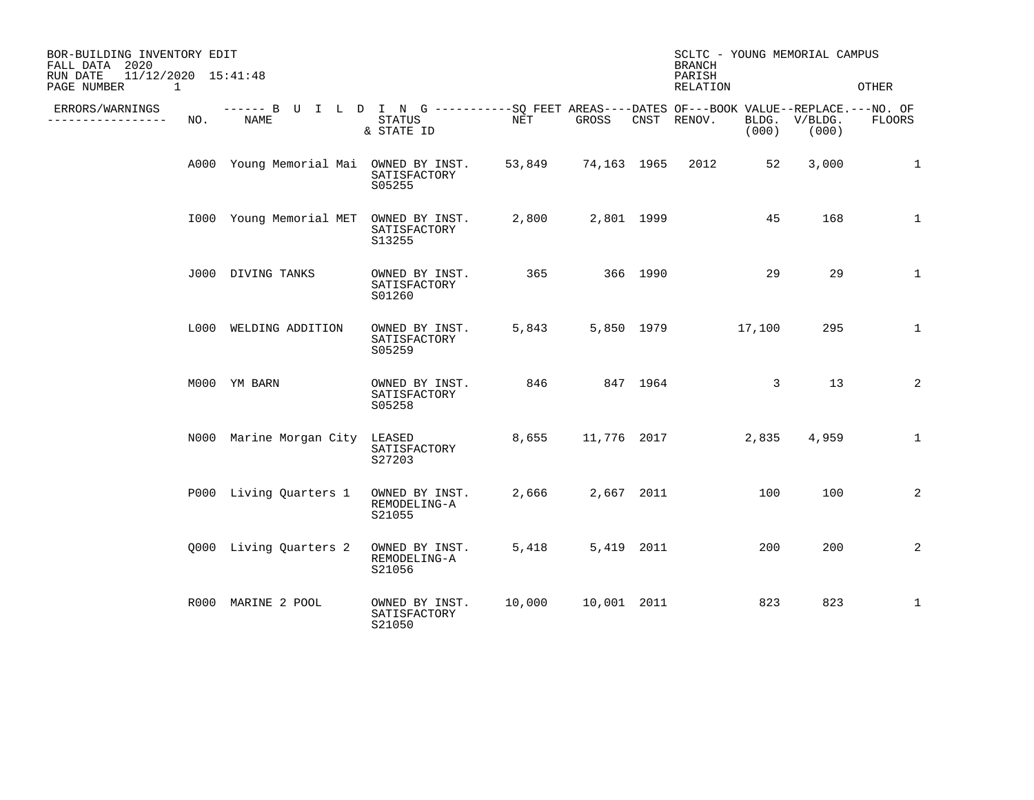| BOR-BUILDING INVENTORY EDIT<br>FALL DATA 2020<br>11/12/2020 15:41:48<br>RUN DATE |     |                                                                                                    |                                          |        |             | <b>BRANCH</b><br>PARISH |                         | SCLTC - YOUNG MEMORIAL CAMPUS |                        |              |
|----------------------------------------------------------------------------------|-----|----------------------------------------------------------------------------------------------------|------------------------------------------|--------|-------------|-------------------------|-------------------------|-------------------------------|------------------------|--------------|
| PAGE NUMBER<br>1                                                                 |     |                                                                                                    |                                          |        |             |                         | RELATION                |                               |                        | OTHER        |
| ERRORS/WARNINGS<br>______________                                                | NO. | ------ B U I L D I N G ----------SQ FEET AREAS----DATES OF---BOOK VALUE--REPLACE.---NO. OF<br>NAME | STATUS<br>& STATE ID                     | NET    | GROSS       |                         | CNST RENOV.             | (000)                         | BLDG. V/BLDG.<br>(000) | FLOORS       |
|                                                                                  |     | A000 Young Memorial Mai OWNED BY INST.                                                             | SATISFACTORY<br>S05255                   |        |             |                         | 53,849 74,163 1965 2012 | 52                            | 3,000                  | $\mathbf{1}$ |
|                                                                                  |     | 1000 Young Memorial MET OWNED BY INST.                                                             | SATISFACTORY<br>S13255                   | 2,800  |             | 2,801 1999              |                         | 45                            | 168                    | $\mathbf{1}$ |
|                                                                                  |     | J000 DIVING TANKS                                                                                  | OWNED BY INST.<br>SATISFACTORY<br>S01260 | 365    |             | 366 1990                |                         | 29                            | 29                     | $\mathbf{1}$ |
|                                                                                  |     | L000 WELDING ADDITION                                                                              | OWNED BY INST.<br>SATISFACTORY<br>S05259 | 5,843  |             |                         | 5,850 1979              | 17,100                        | 295                    | $\mathbf{1}$ |
|                                                                                  |     | M000 YM BARN                                                                                       | OWNED BY INST.<br>SATISFACTORY<br>S05258 | 846    |             | 847 1964                |                         | 3                             | 13                     | 2            |
|                                                                                  |     | N000 Marine Morgan City                                                                            | LEASED<br>SATISFACTORY<br>S27203         | 8,655  |             |                         | 11,776 2017             | 2,835                         | 4,959                  | $\mathbf{1}$ |
|                                                                                  |     | P000 Living Quarters 1                                                                             | OWNED BY INST.<br>REMODELING-A<br>S21055 | 2,666  | 2,667 2011  |                         |                         | 100                           | 100                    | 2            |
|                                                                                  |     | Q000 Living Quarters 2                                                                             | OWNED BY INST.<br>REMODELING-A<br>S21056 | 5,418  |             | 5,419 2011              |                         | 200                           | 200                    | 2            |
|                                                                                  |     | R000 MARINE 2 POOL                                                                                 | OWNED BY INST.<br>SATISFACTORY<br>S21050 | 10,000 | 10,001 2011 |                         |                         | 823                           | 823                    | $\mathbf{1}$ |